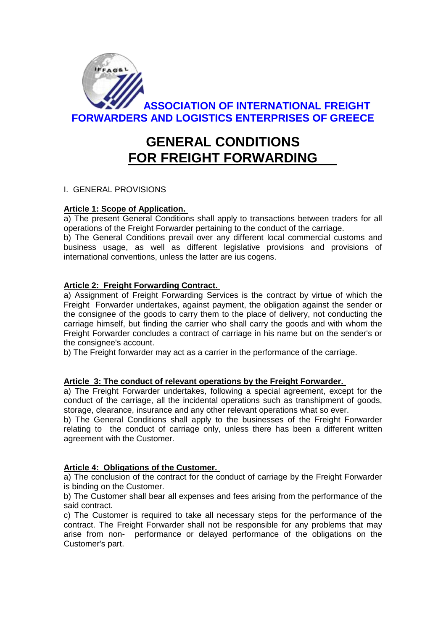

# **GENERAL CONDITIONS FOR FREIGHT FORWARDING**

## I. GENERAL PROVISIONS

## **Article 1: Scope of Application.**

a) The present General Conditions shall apply to transactions between traders for all operations of the Freight Forwarder pertaining to the conduct of the carriage.

b) The General Conditions prevail over any different local commercial customs and business usage, as well as different legislative provisions and provisions of international conventions, unless the latter are ius cogens.

## **Article 2: Freight Forwarding Contract.**

a) Assignment of Freight Forwarding Services is the contract by virtue of which the Freight Forwarder undertakes, against payment, the obligation against the sender or the consignee of the goods to carry them to the place of delivery, not conducting the carriage himself, but finding the carrier who shall carry the goods and with whom the Freight Forwarder concludes a contract of carriage in his name but on the sender's or the consignee's account.

b) The Freight forwarder may act as a carrier in the performance of the carriage.

## **Article 3: The conduct of relevant operations by the Freight Forwarder.**

a) The Freight Forwarder undertakes, following a special agreement, except for the conduct of the carriage, all the incidental operations such as transhipment of goods, storage, clearance, insurance and any other relevant operations what so ever.

b) The General Conditions shall apply to the businesses of the Freight Forwarder relating to the conduct of carriage only, unless there has been a different written agreement with the Customer.

## **Article 4: Obligations of the Customer.**

a) The conclusion of the contract for the conduct of carriage by the Freight Forwarder is binding on the Customer.

b) The Customer shall bear all expenses and fees arising from the performance of the said contract.

c) The Customer is required to take all necessary steps for the performance of the contract. The Freight Forwarder shall not be responsible for any problems that may arise from non- performance or delayed performance of the obligations on the Customer's part.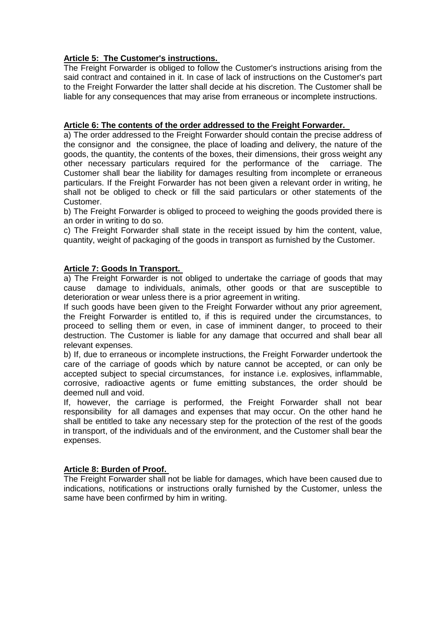## **Article 5: The Customer's instructions.**

The Freight Forwarder is obliged to follow the Customer's instructions arising from the said contract and contained in it. In case of lack of instructions on the Customer's part to the Freight Forwarder the latter shall decide at his discretion. The Customer shall be liable for any consequences that may arise from erraneous or incomplete instructions.

## **Article 6: The contents of the order addressed to the Freight Forwarder.**

a) The order addressed to the Freight Forwarder should contain the precise address of the consignor and the consignee, the place of loading and delivery, the nature of the goods, the quantity, the contents of the boxes, their dimensions, their gross weight any other necessary particulars required for the performance of the carriage. The Customer shall bear the liability for damages resulting from incomplete or erraneous particulars. If the Freight Forwarder has not been given a relevant order in writing, he shall not be obliged to check or fill the said particulars or other statements of the Customer.

b) The Freight Forwarder is obliged to proceed to weighing the goods provided there is an order in writing to do so.

c) The Freight Forwarder shall state in the receipt issued by him the content, value, quantity, weight of packaging of the goods in transport as furnished by the Customer.

## **Article 7: Goods In Transport.**

a) The Freight Forwarder is not obliged to undertake the carriage of goods that may cause damage to individuals, animals, other goods or that are susceptible to deterioration or wear unless there is a prior agreement in writing.

If such goods have been given to the Freight Forwarder without any prior agreement, the Freight Forwarder is entitled to, if this is required under the circumstances, to proceed to selling them or even, in case of imminent danger, to proceed to their destruction. The Customer is liable for any damage that occurred and shall bear all relevant expenses.

b) If, due to erraneous or incomplete instructions, the Freight Forwarder undertook the care of the carriage of goods which by nature cannot be accepted, or can only be accepted subject to special circumstances, for instance i.e. explosives, inflammable, corrosive, radioactive agents or fume emitting substances, the order should be deemed null and void.

If, however, the carriage is performed, the Freight Forwarder shall not bear responsibility for all damages and expenses that may occur. On the other hand he shall be entitled to take any necessary step for the protection οf the rest of the goods in transport, of the individuals and of the environment, and the Customer shall bear the expenses.

## **Article 8: Burden of Proof.**

The Freight Forwarder shall not be liable for damages, which have been caused due to indications, notifications or instructions orally furnished by the Customer, unless the same have been confirmed by him in writing.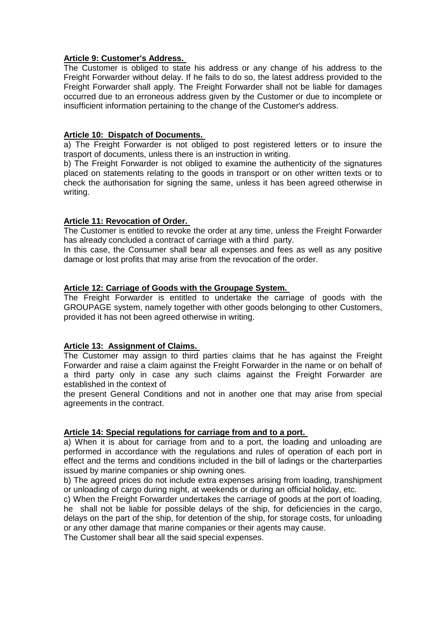#### **Article 9: Customer's Address.**

The Customer is obliged to state his address or any change of his address to the Freight Forwarder without delay. If he fails to do so, the latest address provided to the Freight Forwarder shall apply. The Freight Forwarder shall not be liable for damages occurred due to an erroneous address given by the Customer or due to incomplete or insufficient information pertaining to the change of the Customer's address.

## **Article 10: Dispatch of Documents.**

a) The Freight Forwarder is not obliged to post registered letters or to insure the trasport of documents, unless there is an instruction in writing.

b) The Freight Forwarder is not obliged to examine the authenticity of the signatures placed on statements relating to the goods in transport or on other written texts or to check the authorisation for signing the same, unless it has been agreed otherwise in writing.

## **Article 11: Revocation of Order.**

The Customer is entitled to revoke the order at any time, unless the Freight Forwarder has already concluded a contract of carriage with a third party.

In this case, the Consumer shall bear all expenses and fees as well as any positive damage or lost profits that may arise from the revocation of the order.

#### **Article 12: Carriage of Goods with the Groupage System.**

The Freight Forwarder is entitled to undertake the carriage of goods with the GROUPAGE system, namely together with other goods belonging to other Customers, provided it has not been agreed otherwise in writing.

## **Article 13: Assignment of Claims.**

The Customer may assign to third parties claims that he has against the Freight Forwarder and raise a claim against the Freight Forwarder in the name or on behalf of a third party only in case any such claims against the Freight Forwarder are established in the context of

the present General Conditions and not in another one that may arise from special agreements in the contract.

#### **Article 14: Special regulations for carriage from and to a port.**

a) When it is about for carriage from and to a port, the loading and unloading are performed in accordance with the regulations and rules of operation of each port in effect and the terms and conditions included in the bill of ladings or the charterparties issued by marine companies or ship owning ones.

b) The agreed prices do not include extra expenses arising from loading, transhipment or unloading of cargo during night, at weekends or during an official holiday, etc.

c) When the Freight Forwarder undertakes the carriage of goods at the port of loading, he shall not be liable for possible delays of the ship, for deficiencies in the cargo, delays on the part of the ship, for detention of the ship, for storage costs, for unloading or any other damage that marine companies or their agents may cause.

The Customer shall bear all the said special expenses.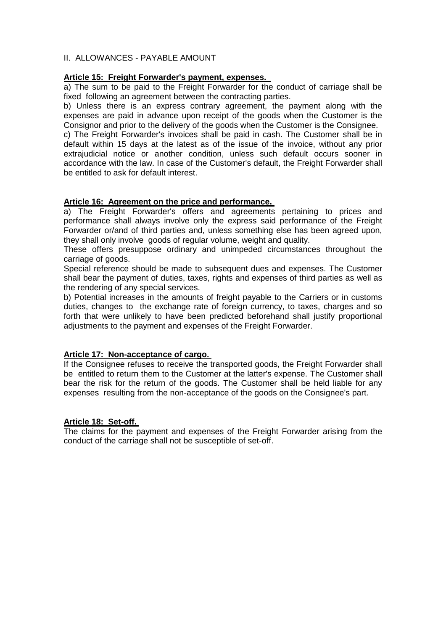## II. ALLOWANCES - PAYABLE AMOUNT

## **Article 15: Freight Forwarder's payment, expenses.**

a) The sum to be paid to the Freight Forwarder for the conduct of carriage shall be fixed following an agreement between the contracting parties.

b) Unless there is an express contrary agreement, the payment along with the expenses are paid in advance upon receipt of the goods when the Customer is the Consignor and prior to the delivery of the goods when the Customer is the Consignee.

c) The Freight Forwarder's invoices shall be paid in cash. The Customer shall be in default within 15 days at the latest as of the issue of the invoice, without any prior extrajudicial notice or another condition, unless such default occurs sooner in accordance with the law. In case of the Customer's default, the Freight Forwarder shall be entitled to ask for default interest.

## **Article 16: Agreement on the price and performance.**

a) The Freight Forwarder's offers and agreements pertaining to prices and performance shall always involve only the express said performance of the Freight Forwarder or/and of third parties and, unless something else has been agreed upon, they shall only involve goods of regular volume, weight and quality.

These offers presuppose ordinary and unimpeded circumstances throughout the carriage of goods.

Special reference should be made to subsequent dues and expenses. The Customer shall bear the payment of duties, taxes, rights and expenses of third parties as well as the rendering of any special services.

b) Potential increases in the amounts of freight payable to the Carriers or in customs duties, changes to the exchange rate of foreign currency, to taxes, charges and so forth that were unlikely to have been predicted beforehand shall justify proportional adjustments to the payment and expenses of the Freight Forwarder.

## **Article 17: Non-acceptance of cargo.**

If the Consignee refuses to receive the transported goods, the Freight Forwarder shall be entitled to return them to the Customer at the latter's expense. The Customer shall bear the risk for the return of the goods. The Customer shall be held liable for any expenses resulting from the non-acceptance of the goods on the Consignee's part.

## **Article 18: Set-off.**

The claims for the payment and expenses of the Freight Forwarder arising from the conduct of the carriage shall not be susceptible of set-off.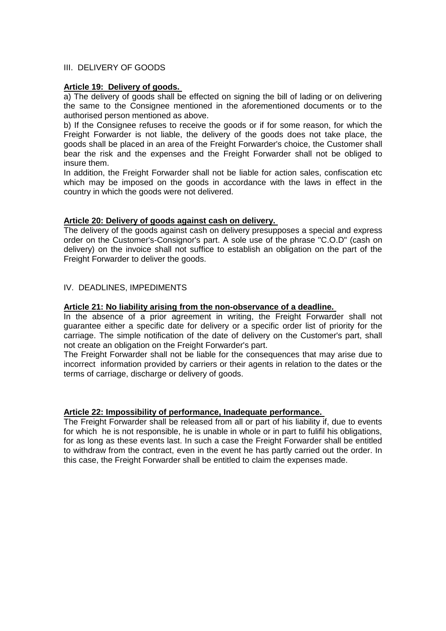## III. DELIVERY OF GOODS

#### **Article 19: Delivery of goods.**

a) The delivery of goods shall be effected on signing the bill of lading or on delivering the same to the Consignee mentioned in the aforementioned documents or to the authorised person mentioned as above.

b) If the Consignee refuses to receive the goods or if for some reason, for which the Freight Forwarder is not liable, the delivery of the goods does not take place, the goods shall be placed in an area of the Freight Forwarder's choice, the Customer shall bear the risk and the expenses and the Freight Forwarder shall not be obliged to insure them.

In addition, the Freight Forwarder shall not be liable for action sales, confiscation etc which may be imposed on the goods in accordance with the laws in effect in the country in which the goods were not delivered.

#### **Article 20: Delivery of goods against cash on delivery.**

The delivery of the goods against cash on delivery presupposes a special and express order on the Customer's-Consignor's part. A sole use of the phrase "C.O.D" (cash on delivery) on the invoice shall not suffice to establish an obligation on the part of the Freight Forwarder to deliver the goods.

## IV. DEADLINES, IMPEDIMENTS

#### **Article 21: No liability arising from the non-observance of a deadline.**

In the absence of a prior agreement in writing, the Freight Forwarder shall not guarantee either a specific date for delivery or a specific order list of priority for the carriage. The simple notification of the date of delivery on the Customer's part, shall not create an obligation on the Freight Forwarder's part.

The Freight Forwarder shall not be liable for the consequences that may arise due to incorrect information provided by carriers or their agents in relation to the dates or the terms of carriage, discharge or delivery of goods.

#### **Article 22: Impossibility of performance, Inadequate performance.**

The Freight Forwarder shall be released from all or part of his liability if, due to events for which he is not responsible, he is unable in whole or in part to fulifil his obligations, for as long as these events last. In such a case the Freight Forwarder shall be entitled to withdraw from the contract, even in the event he has partly carried out the order. In this case, the Freight Forwarder shall be entitled to claim the expenses made.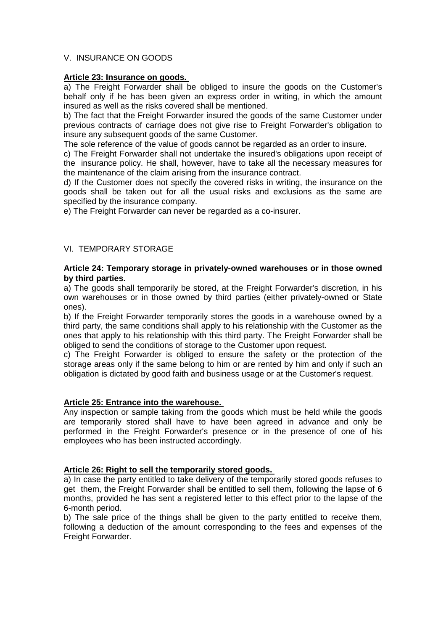## V. INSURANCE ON GOODS

#### **Article 23: Insurance on goods.**

a) The Freight Forwarder shall be obliged to insure the goods on the Customer's behalf only if he has been given an express order in writing, in which the amount insured as well as the risks covered shall be mentioned.

b) The fact that the Freight Forwarder insured the goods of the same Customer under previous contracts of carriage does not give rise to Freight Forwarder's obligation to insure any subsequent goods of the same Customer.

The sole reference of the value of goods cannot be regarded as an order to insure.

c) The Freight Forwarder shall not undertake the insured's obligations upon receipt of the insurance policy. He shall, however, have to take all the necessary measures for the maintenance of the claim arising from the insurance contract.

d) If the Customer does not specify the covered risks in writing, the insurance on the goods shall be taken out for all the usual risks and exclusions as the same are specified by the insurance company.

e) The Freight Forwarder can never be regarded as a co-insurer.

## VI. TEMPORARY STORAGE

#### **Article 24: Temporary storage in privately-owned warehouses or in those owned by third parties.**

a) The goods shall temporarily be stored, at the Freight Forwarder's discretion, in his own warehouses or in those owned by third parties (either privately-owned or State ones).

b) If the Freight Forwarder temporarily stores the goods in a warehouse owned by a third party, the same conditions shall apply to his relationship with the Customer as the ones that apply to his relationship with this third party. The Freight Forwarder shall be obliged to send the conditions of storage to the Customer upon request.

c) The Freight Forwarder is obliged to ensure the safety or the protection of the storage areas only if the same belong to him or are rented by him and only if such an obligation is dictated by good faith and business usage or at the Customer's request.

## **Article 25: Entrance into the warehouse.**

Any inspection or sample taking from the goods which must be held while the goods are temporarily stored shall have to have been agreed in advance and only be performed in the Freight Forwarder's presence or in the presence of one of his employees who has been instructed accordingly.

## **Article 26: Right to sell the temporarily stored goods.**

a) In case the party entitled to take delivery of the temporarily stored goods refuses to get them, the Freight Forwarder shall be entitled to sell them, following the lapse of 6 months, provided he has sent a registered letter to this effect prior to the lapse of the 6-month period.

b) The sale price of the things shall be given to the party entitled to receive them, following a deduction of the amount corresponding to the fees and expenses of the Freight Forwarder.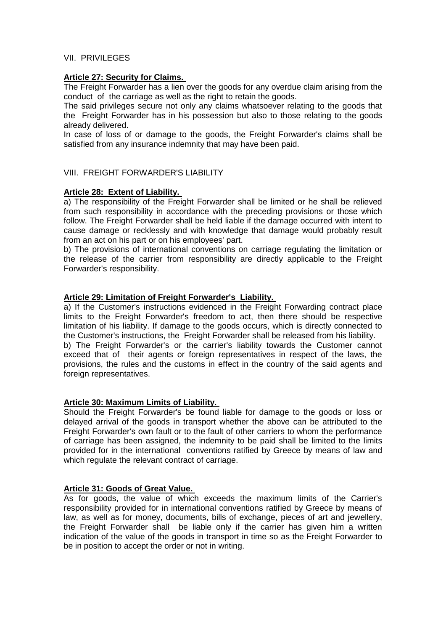## VII. PRIVILEGES

## **Article 27: Security for Claims.**

The Freight Forwarder has a lien over the goods for any overdue claim arising from the conduct of the carriage as well as the right to retain the goods.

The said privileges secure not only any claims whatsoever relating to the goods that the Freight Forwarder has in his possession but also to those relating to the goods already delivered.

In case of loss of or damage to the goods, the Freight Forwarder's claims shall be satisfied from any insurance indemnity that may have been paid.

## VIII. FREIGHT FORWARDER'S LIABILITY

## **Article 28: Extent of Liability.**

a) The responsibility of the Freight Forwarder shall be limited or he shall be relieved from such responsibility in accordance with the preceding provisions or those which follow. The Freight Forwarder shall be held liable if the damage occurred with intent to cause damage or recklessly and with knowledge that damage would probably result from an act on his part or on his employees' part.

b) The provisions of international conventions on carriage regulating the limitation or the release of the carrier from responsibility are directly applicable to the Freight Forwarder's responsibility.

## **Article 29: Limitation of Freight Forwarder's Liability.**

a) If the Customer's instructions evidenced in the Freight Forwarding contract place limits to the Freight Forwarder's freedom to act, then there should be respective limitation of his liability. If damage to the goods occurs, which is directly connected to the Customer's instructions, the Freight Forwarder shall be released from his liability. b) The Freight Forwarder's or the carrier's liability towards the Customer cannot exceed that of their agents or foreign representatives in respect of the laws, the provisions, the rules and the customs in effect in the country of the said agents and

foreign representatives.

## **Article 30: Maximum Limits of Liability.**

Should the Freight Forwarder's be found liable for damage to the goods or loss or delayed arrival of the goods in transport whether the above can be attributed to the Freight Forwarder's own fault or to the fault of other carriers to whom the performance of carriage has been assigned, the indemnity to be paid shall be limited to the limits provided for in the international conventions ratified by Greece by means of law and which regulate the relevant contract of carriage.

## **Article 31: Goods of Great Value.**

As for goods, the value of which exceeds the maximum limits of the Carrier's responsibility provided for in international conventions ratified by Greece by means of law, as well as for money, documents, bills of exchange, pieces of art and jewellery, the Freight Forwarder shall be liable only if the carrier has given him a written indication of the value of the goods in transport in time so as the Freight Forwarder to be in position to accept the order or not in writing.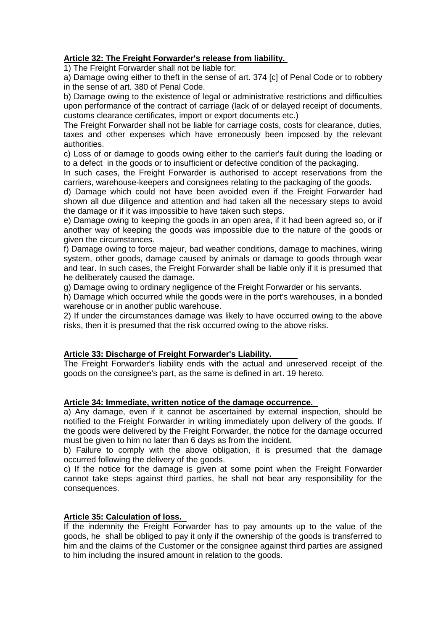## **Article 32: The Freight Forwarder's release from liability.**

1) The Freight Forwarder shall not be liable for:

a) Damage owing either to theft in the sense of art. 374 [c] of Penal Code or to robbery in the sense of art. 380 of Penal Code.

b) Damage owing to the existence of legal or administrative restrictions and difficulties upon performance of the contract of carriage (lack of or delayed receipt of documents, customs clearance certificates, import or export documents etc.)

The Freight Forwarder shall not be liable for carriage costs, costs for clearance, duties, taxes and other expenses which have erroneously been imposed by the relevant authorities.

c) Loss of or damage to goods owing either to the carrier's fault during the loading or to a defect in the goods or to insufficient or defective condition of the packaging.

In such cases, the Freight Forwarder is authorised to accept reservations from the carriers, warehouse-keepers and consignees relating to the packaging of the goods.

d) Damage which could not have been avoided even if the Freight Forwarder had shown all due diligence and attention and had taken all the necessary steps to avoid the damage or if it was impossible to have taken such steps.

e) Damage owing to keeping the goods in an open area, if it had been agreed so, or if another way of keeping the goods was impossible due to the nature of the goods or given the circumstances.

f) Damage owing to force majeur, bad weather conditions, damage to machines, wiring system, other goods, damage caused by animals or damage to goods through wear and tear. In such cases, the Freight Forwarder shall be liable only if it is presumed that he deliberately caused the damage.

g) Damage owing to ordinary negligence of the Freight Forwarder or his servants.

h) Damage which occurred while the goods were in the port's warehouses, in a bonded warehouse or in another public warehouse.

2) If under the circumstances damage was likely to have occurred owing to the above risks, then it is presumed that the risk occurred owing to the above risks.

## **Article 33: Discharge of Freight Forwarder's Liability.**

The Freight Forwarder's liability ends with the actual and unreserved receipt of the goods on the consignee's part, as the same is defined in art. 19 hereto.

## **Article 34: Immediate, written notice of the damage occurrence.**

a) Any damage, even if it cannot be ascertained by external inspection, should be notified to the Freight Forwarder in writing immediately upon delivery of the goods. If the goods were delivered by the Freight Forwarder, the notice for the damage occurred must be given to him no later than 6 days as from the incident.

b) Failure to comply with the above obligation, it is presumed that the damage occurred following the delivery of the goods.

c) If the notice for the damage is given at some point when the Freight Forwarder cannot take steps against third parties, he shall not bear any responsibility for the consequences.

## **Article 35: Calculation of loss.**

If the indemnity the Freight Forwarder has to pay amounts up to the value of the goods, he shall be obliged to pay it only if the ownership of the goods is transferred to him and the claims of the Customer or the consignee against third parties are assigned to him including the insured amount in relation to the goods.